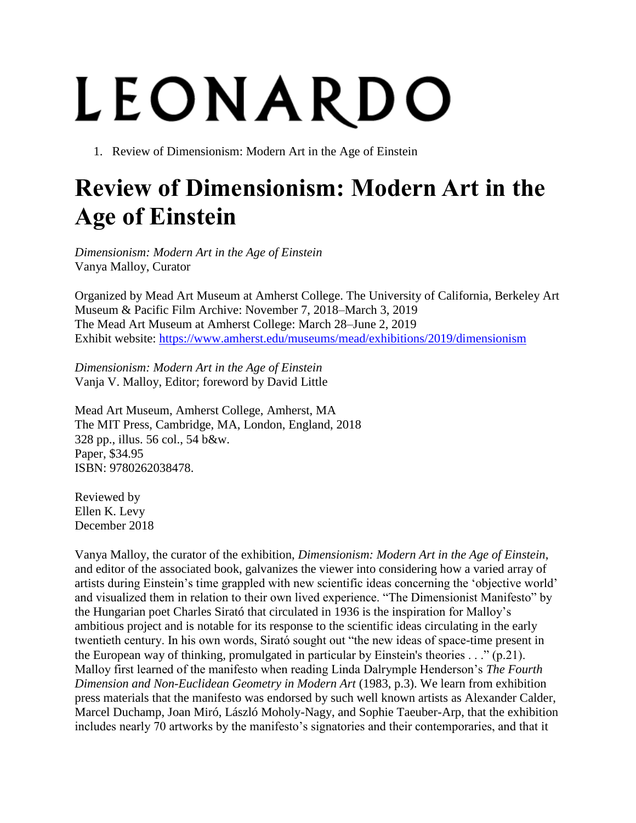## LEONARDO

1. Review of Dimensionism: Modern Art in the Age of Einstein

## **Review of Dimensionism: Modern Art in the Age of Einstein**

*Dimensionism: Modern Art in the Age of Einstein* Vanya Malloy, Curator

Organized by Mead Art Museum at Amherst College. The University of California, Berkeley Art Museum & Pacific Film Archive: November 7, 2018–March 3, 2019 The Mead Art Museum at Amherst College: March 28–June 2, 2019 Exhibit website:<https://www.amherst.edu/museums/mead/exhibitions/2019/dimensionism>

*Dimensionism: Modern Art in the Age of Einstein* Vanja V. Malloy, Editor; foreword by David Little

Mead Art Museum, Amherst College, Amherst, MA The MIT Press, Cambridge, MA, London, England, 2018 328 pp., illus. 56 col., 54 b&w. Paper, \$34.95 ISBN: 9780262038478.

Reviewed by Ellen K. Levy December 2018

Vanya Malloy, the curator of the exhibition, *Dimensionism: Modern Art in the Age of Einstein*, and editor of the associated book, galvanizes the viewer into considering how a varied array of artists during Einstein's time grappled with new scientific ideas concerning the 'objective world' and visualized them in relation to their own lived experience. "The Dimensionist Manifesto" by the Hungarian poet Charles Sirató that circulated in 1936 is the inspiration for Malloy's ambitious project and is notable for its response to the scientific ideas circulating in the early twentieth century. In his own words, Sirató sought out "the new ideas of space-time present in the European way of thinking, promulgated in particular by Einstein's theories . . ." (p.21). Malloy first learned of the manifesto when reading Linda Dalrymple Henderson's *The Fourth Dimension and Non-Euclidean Geometry in Modern Art* (1983, p.3). We learn from exhibition press materials that the manifesto was endorsed by such well known artists as Alexander Calder, Marcel Duchamp, Joan Miró, László Moholy-Nagy, and Sophie Taeuber-Arp, that the exhibition includes nearly 70 artworks by the manifesto's signatories and their contemporaries, and that it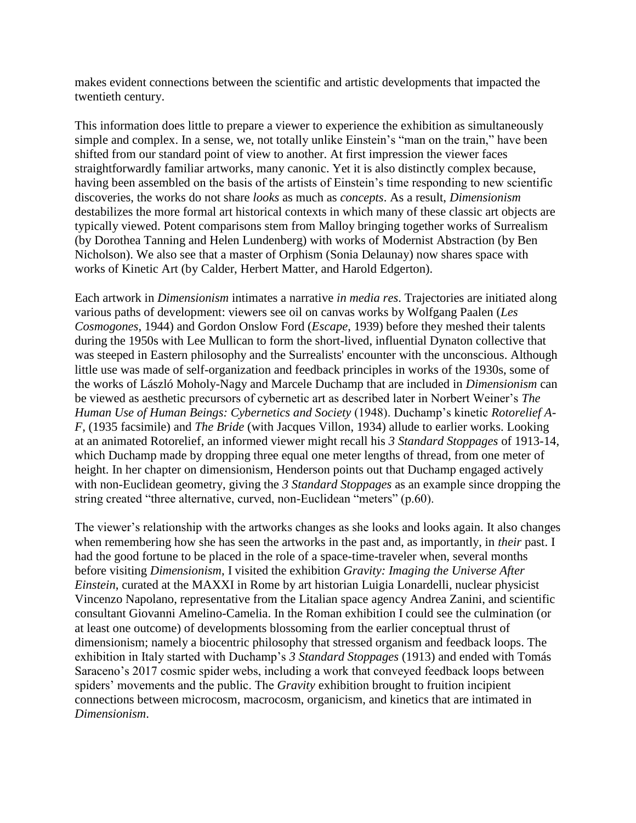makes evident connections between the scientific and artistic developments that impacted the twentieth century.

This information does little to prepare a viewer to experience the exhibition as simultaneously simple and complex. In a sense, we, not totally unlike Einstein's "man on the train," have been shifted from our standard point of view to another. At first impression the viewer faces straightforwardly familiar artworks, many canonic. Yet it is also distinctly complex because, having been assembled on the basis of the artists of Einstein's time responding to new scientific discoveries, the works do not share *looks* as much as *concepts*. As a result, *Dimensionism* destabilizes the more formal art historical contexts in which many of these classic art objects are typically viewed. Potent comparisons stem from Malloy bringing together works of Surrealism (by Dorothea Tanning and Helen Lundenberg) with works of Modernist Abstraction (by Ben Nicholson). We also see that a master of Orphism (Sonia Delaunay) now shares space with works of Kinetic Art (by Calder, Herbert Matter, and Harold Edgerton).

Each artwork in *Dimensionism* intimates a narrative *in media res*. Trajectories are initiated along various paths of development: viewers see oil on canvas works by Wolfgang Paalen (*Les Cosmogones*, 1944) and Gordon Onslow Ford (*Escape*, 1939) before they meshed their talents during the 1950s with Lee Mullican to form the short-lived, influential Dynaton collective that was steeped in Eastern philosophy and the Surrealists' encounter with the unconscious. Although little use was made of self-organization and feedback principles in works of the 1930s, some of the works of László Moholy-Nagy and Marcele Duchamp that are included in *Dimensionism* can be viewed as aesthetic precursors of cybernetic art as described later in Norbert Weiner's *The Human Use of Human Beings: Cybernetics and Society* (1948). Duchamp's kinetic *Rotorelief A-F*, (1935 facsimile) and *The Bride* (with Jacques Villon, 1934) allude to earlier works. Looking at an animated Rotorelief, an informed viewer might recall his *3 Standard Stoppages* of 1913-14, which Duchamp made by dropping three equal one meter lengths of thread, from one meter of height. In her chapter on dimensionism, Henderson points out that Duchamp engaged actively with non-Euclidean geometry, giving the *3 Standard Stoppages* as an example since dropping the string created "three alternative, curved, non-Euclidean "meters" (p.60).

The viewer's relationship with the artworks changes as she looks and looks again. It also changes when remembering how she has seen the artworks in the past and, as importantly, in *their* past. I had the good fortune to be placed in the role of a space-time-traveler when, several months before visiting *Dimensionism*, I visited the exhibition *Gravity: Imaging the Universe After Einstein*, curated at the MAXXI in Rome by art historian Luigia Lonardelli, nuclear physicist Vincenzo Napolano, representative from the Litalian space agency Andrea Zanini, and scientific consultant Giovanni Amelino-Camelia. In the Roman exhibition I could see the culmination (or at least one outcome) of developments blossoming from the earlier conceptual thrust of dimensionism; namely a biocentric philosophy that stressed organism and feedback loops. The exhibition in Italy started with Duchamp's *3 Standard Stoppages* (1913) and ended with Tomás Saraceno's 2017 cosmic spider webs, including a work that conveyed feedback loops between spiders' movements and the public. The *Gravity* exhibition brought to fruition incipient connections between microcosm, macrocosm, organicism, and kinetics that are intimated in *Dimensionism*.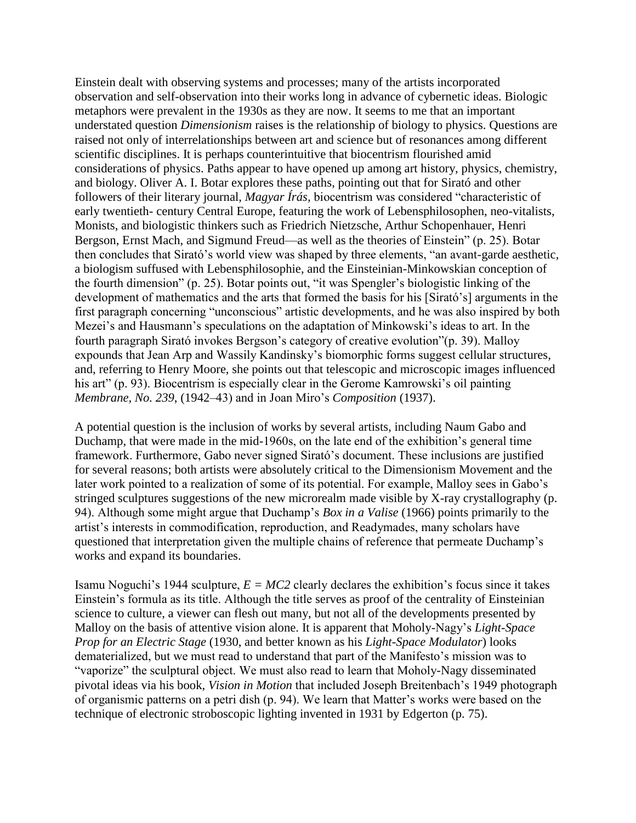Einstein dealt with observing systems and processes; many of the artists incorporated observation and self-observation into their works long in advance of cybernetic ideas. Biologic metaphors were prevalent in the 1930s as they are now. It seems to me that an important understated question *Dimensionism* raises is the relationship of biology to physics. Questions are raised not only of interrelationships between art and science but of resonances among different scientific disciplines. It is perhaps counterintuitive that biocentrism flourished amid considerations of physics. Paths appear to have opened up among art history, physics, chemistry, and biology. Oliver A. I. Botar explores these paths, pointing out that for Sirató and other followers of their literary journal, *Magyar Írás,* biocentrism was considered "characteristic of early twentieth- century Central Europe, featuring the work of Lebensphilosophen, neo-vitalists, Monists, and biologistic thinkers such as Friedrich Nietzsche, Arthur Schopenhauer, Henri Bergson, Ernst Mach, and Sigmund Freud—as well as the theories of Einstein" (p. 25). Botar then concludes that Sirató's world view was shaped by three elements, "an avant-garde aesthetic, a biologism suffused with Lebensphilosophie, and the Einsteinian-Minkowskian conception of the fourth dimension" (p. 25). Botar points out, "it was Spengler's biologistic linking of the development of mathematics and the arts that formed the basis for his [Sirató's] arguments in the first paragraph concerning "unconscious" artistic developments, and he was also inspired by both Mezei's and Hausmann's speculations on the adaptation of Minkowski's ideas to art. In the fourth paragraph Sirató invokes Bergson's category of creative evolution"(p. 39). Malloy expounds that Jean Arp and Wassily Kandinsky's biomorphic forms suggest cellular structures, and, referring to Henry Moore, she points out that telescopic and microscopic images influenced his art" (p. 93). Biocentrism is especially clear in the Gerome Kamrowski's oil painting *Membrane, No. 239*, (1942–43) and in Joan Miro's *Composition* (1937).

A potential question is the inclusion of works by several artists, including Naum Gabo and Duchamp, that were made in the mid-1960s, on the late end of the exhibition's general time framework. Furthermore, Gabo never signed Sirató's document. These inclusions are justified for several reasons; both artists were absolutely critical to the Dimensionism Movement and the later work pointed to a realization of some of its potential. For example, Malloy sees in Gabo's stringed sculptures suggestions of the new microrealm made visible by X-ray crystallography (p. 94). Although some might argue that Duchamp's *Box in a Valise* (1966) points primarily to the artist's interests in commodification, reproduction, and Readymades, many scholars have questioned that interpretation given the multiple chains of reference that permeate Duchamp's works and expand its boundaries.

Isamu Noguchi's 1944 sculpture,  $E = MC2$  clearly declares the exhibition's focus since it takes Einstein's formula as its title. Although the title serves as proof of the centrality of Einsteinian science to culture, a viewer can flesh out many, but not all of the developments presented by Malloy on the basis of attentive vision alone. It is apparent that Moholy-Nagy's *Light-Space Prop for an Electric Stage* (1930, and better known as his *Light-Space Modulator*) looks dematerialized, but we must read to understand that part of the Manifesto's mission was to "vaporize" the sculptural object. We must also read to learn that Moholy-Nagy disseminated pivotal ideas via his book, *Vision in Motion* that included Joseph Breitenbach's 1949 photograph of organismic patterns on a petri dish (p. 94). We learn that Matter's works were based on the technique of electronic stroboscopic lighting invented in 1931 by Edgerton (p. 75).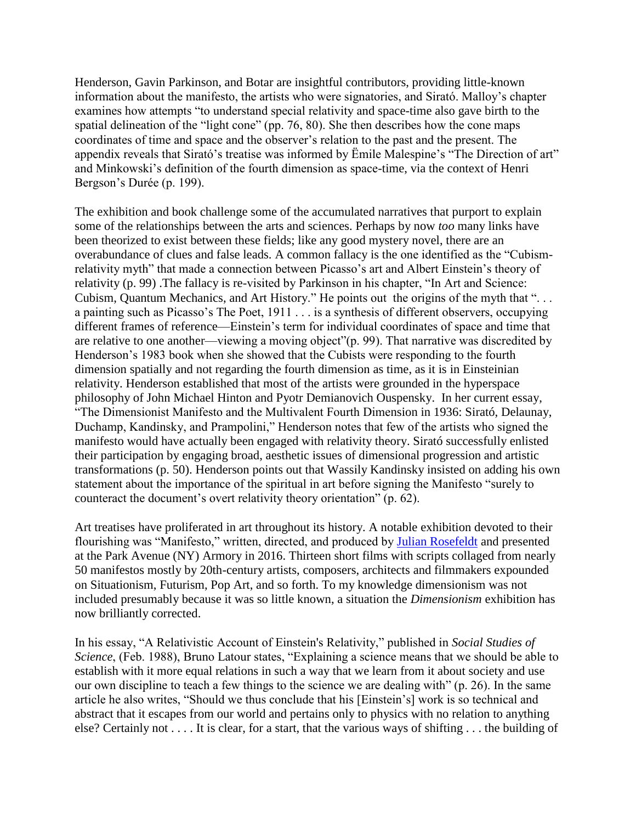Henderson, Gavin Parkinson, and Botar are insightful contributors, providing little-known information about the manifesto, the artists who were signatories, and Sirató. Malloy's chapter examines how attempts "to understand special relativity and space-time also gave birth to the spatial delineation of the "light cone" (pp. 76, 80). She then describes how the cone maps coordinates of time and space and the observer's relation to the past and the present. The appendix reveals that Sirató's treatise was informed by Ëmile Malespine's "The Direction of art" and Minkowski's definition of the fourth dimension as space-time, via the context of Henri Bergson's Durée (p. 199).

The exhibition and book challenge some of the accumulated narratives that purport to explain some of the relationships between the arts and sciences. Perhaps by now *too* many links have been theorized to exist between these fields; like any good mystery novel, there are an overabundance of clues and false leads. A common fallacy is the one identified as the "Cubismrelativity myth" that made a connection between Picasso's art and Albert Einstein's theory of relativity (p. 99) .The fallacy is re-visited by Parkinson in his chapter, "In Art and Science: Cubism, Quantum Mechanics, and Art History." He points out the origins of the myth that "... a painting such as Picasso's The Poet, 1911 . . . is a synthesis of different observers, occupying different frames of reference—Einstein's term for individual coordinates of space and time that are relative to one another—viewing a moving object"(p. 99). That narrative was discredited by Henderson's 1983 book when she showed that the Cubists were responding to the fourth dimension spatially and not regarding the fourth dimension as time, as it is in Einsteinian relativity. Henderson established that most of the artists were grounded in the hyperspace philosophy of John Michael Hinton and Pyotr Demianovich Ouspensky. In her current essay, "The Dimensionist Manifesto and the Multivalent Fourth Dimension in 1936: Sirató, Delaunay, Duchamp, Kandinsky, and Prampolini," Henderson notes that few of the artists who signed the manifesto would have actually been engaged with relativity theory. Sirató successfully enlisted their participation by engaging broad, aesthetic issues of dimensional progression and artistic transformations (p. 50). Henderson points out that Wassily Kandinsky insisted on adding his own statement about the importance of the spiritual in art before signing the Manifesto "surely to counteract the document's overt relativity theory orientation" (p. 62).

Art treatises have proliferated in art throughout its history. A notable exhibition devoted to their flourishing was "Manifesto," written, directed, and produced by [Julian Rosefeldt](http://www.julianrosefeldt.com/news%22%20%5Ct%20%22_blank) and presented at the Park Avenue (NY) Armory in 2016. Thirteen short films with scripts collaged from nearly 50 manifestos mostly by 20th-century artists, composers, architects and filmmakers expounded on Situationism, Futurism, Pop Art, and so forth. To my knowledge dimensionism was not included presumably because it was so little known, a situation the *Dimensionism* exhibition has now brilliantly corrected.

In his essay, "A Relativistic Account of Einstein's Relativity," published in *Social Studies of Science*, (Feb. 1988), Bruno Latour states, "Explaining a science means that we should be able to establish with it more equal relations in such a way that we learn from it about society and use our own discipline to teach a few things to the science we are dealing with" (p. 26). In the same article he also writes, "Should we thus conclude that his [Einstein's] work is so technical and abstract that it escapes from our world and pertains only to physics with no relation to anything else? Certainly not . . . . It is clear, for a start, that the various ways of shifting . . . the building of